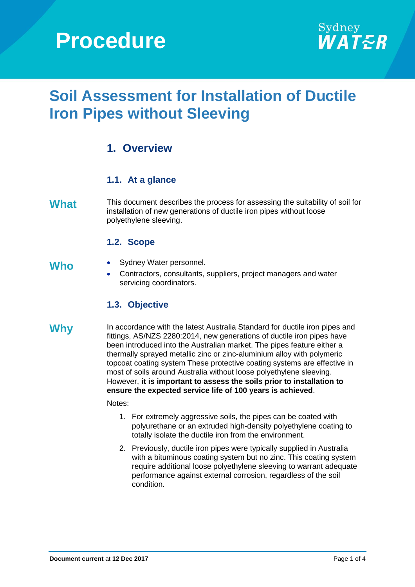# **Procedure**



# **Soil Assessment for Installation of Ductile Iron Pipes without Sleeving**

## **1. Overview**

### **1.1. At a glance**

What This document describes the process for assessing the suitability of soil for installation of new generations of ductile iron pipes without loose polyethylene sleeving.

#### **1.2. Scope**

- Who Sydney Water personnel.
	- Contractors, consultants, suppliers, project managers and water servicing coordinators.

#### **1.3. Objective**

**Why** In accordance with the latest Australia Standard for ductile iron pipes and fittings, AS/NZS 2280:2014, new generations of ductile iron pipes have been introduced into the Australian market. The pipes feature either a thermally sprayed metallic zinc or zinc-aluminium alloy with polymeric topcoat coating system These protective coating systems are effective in most of soils around Australia without loose polyethylene sleeving. However, **it is important to assess the soils prior to installation to ensure the expected service life of 100 years is achieved**.

#### Notes:

- 1. For extremely aggressive soils, the pipes can be coated with polyurethane or an extruded high-density polyethylene coating to totally isolate the ductile iron from the environment.
- 2. Previously, ductile iron pipes were typically supplied in Australia with a bituminous coating system but no zinc. This coating system require additional loose polyethylene sleeving to warrant adequate performance against external corrosion, regardless of the soil condition.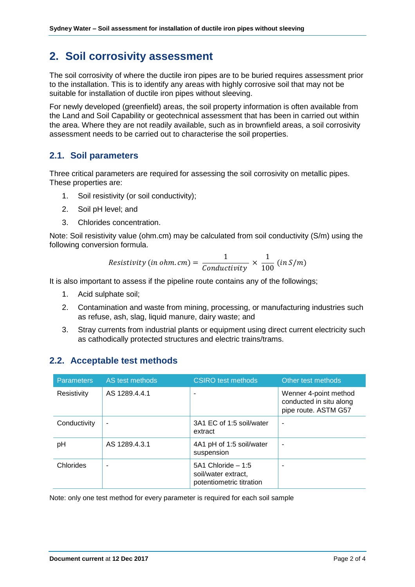## **2. Soil corrosivity assessment**

The soil corrosivity of where the ductile iron pipes are to be buried requires assessment prior to the installation. This is to identify any areas with highly corrosive soil that may not be suitable for installation of ductile iron pipes without sleeving.

For newly developed (greenfield) areas, the soil property information is often available from the Land and Soil Capability or geotechnical assessment that has been in carried out within the area. Where they are not readily available, such as in brownfield areas, a soil corrosivity assessment needs to be carried out to characterise the soil properties.

#### **2.1. Soil parameters**

Three critical parameters are required for assessing the soil corrosivity on metallic pipes. These properties are:

- 1. Soil resistivity (or soil conductivity);
- 2. Soil pH level; and
- 3. Chlorides concentration.

Note: Soil resistivity value (ohm.cm) may be calculated from soil conductivity (S/m) using the following conversion formula.

Resistivity (in ohm. cm) = 
$$
\frac{1}{Conductivity} \times \frac{1}{100} (in S/m)
$$

It is also important to assess if the pipeline route contains any of the followings;

- 1. Acid sulphate soil;
- 2. Contamination and waste from mining, processing, or manufacturing industries such as refuse, ash, slag, liquid manure, dairy waste; and
- 3. Stray currents from industrial plants or equipment using direct current electricity such as cathodically protected structures and electric trains/trams.

### **2.2. Acceptable test methods**

| <b>Parameters</b> | AS test methods | <b>CSIRO</b> test methods                                              | Other test methods                                                       |
|-------------------|-----------------|------------------------------------------------------------------------|--------------------------------------------------------------------------|
| Resistivity       | AS 1289.4.4.1   |                                                                        | Wenner 4-point method<br>conducted in situ along<br>pipe route. ASTM G57 |
| Conductivity      | ۰               | 3A1 EC of 1:5 soil/water<br>extract                                    | ٠                                                                        |
| рH                | AS 1289.4.3.1   | 4A1 pH of 1:5 soil/water<br>suspension                                 | ۰                                                                        |
| Chlorides         |                 | 5A1 Chloride $-1.5$<br>soil/water extract,<br>potentiometric titration |                                                                          |

Note: only one test method for every parameter is required for each soil sample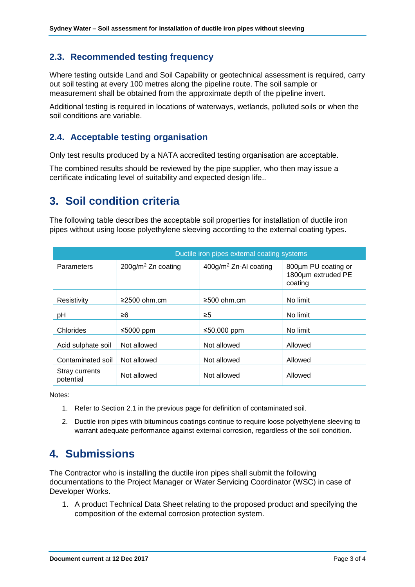### **2.3. Recommended testing frequency**

Where testing outside Land and Soil Capability or geotechnical assessment is required, carry out soil testing at every 100 metres along the pipeline route. The soil sample or measurement shall be obtained from the approximate depth of the pipeline invert.

Additional testing is required in locations of waterways, wetlands, polluted soils or when the soil conditions are variable.

#### **2.4. Acceptable testing organisation**

Only test results produced by a NATA accredited testing organisation are acceptable.

The combined results should be reviewed by the pipe supplier, who then may issue a certificate indicating level of suitability and expected design life..

# **3. Soil condition criteria**

The following table describes the acceptable soil properties for installation of ductile iron pipes without using loose polyethylene sleeving according to the external coating types.

|                             | Ductile iron pipes external coating systems |                                   |                                                      |  |
|-----------------------------|---------------------------------------------|-----------------------------------|------------------------------------------------------|--|
| Parameters                  | $200g/m2$ Zn coating                        | 400g/m <sup>2</sup> Zn-Al coating | 800µm PU coating or<br>1800um extruded PE<br>coating |  |
| Resistivity                 | ≥2500 ohm.cm                                | $≥500$ ohm.cm                     | No limit                                             |  |
| pH                          | ≥6                                          | $\geq 5$                          | No limit                                             |  |
| Chlorides                   | ≤5000 ppm                                   | ≤50,000 ppm                       | No limit                                             |  |
| Acid sulphate soil          | Not allowed                                 | Not allowed                       | Allowed                                              |  |
| Contaminated soil           | Not allowed                                 | Not allowed                       | Allowed                                              |  |
| Stray currents<br>potential | Not allowed                                 | Not allowed                       | Allowed                                              |  |

Notes:

- 1. Refer to Section 2.1 in the previous page for definition of contaminated soil.
- 2. Ductile iron pipes with bituminous coatings continue to require loose polyethylene sleeving to warrant adequate performance against external corrosion, regardless of the soil condition.

# **4. Submissions**

The Contractor who is installing the ductile iron pipes shall submit the following documentations to the Project Manager or Water Servicing Coordinator (WSC) in case of Developer Works.

1. A product Technical Data Sheet relating to the proposed product and specifying the composition of the external corrosion protection system.